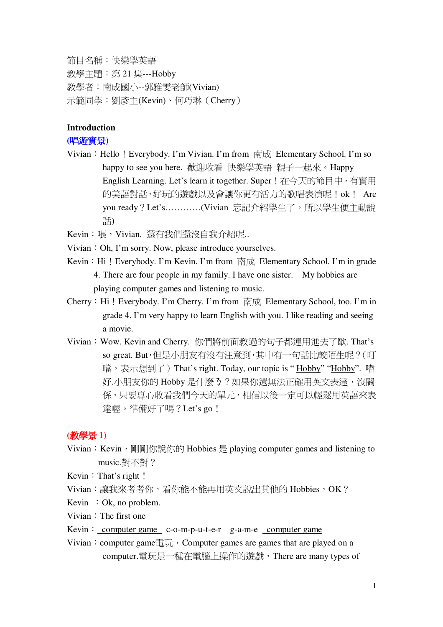節目名稱:快樂學英語

教學主題: 第 21 集---Hobby 教學者:南成國小--郭雅零老師(Vivian) 示範同學:劉彥主(Kevin)、何巧琳 (Cherry)

## **Introduction**

## (唱遊實景)

Vivian: Hello! Everybody. I'm Vivian. I'm from 南成 Elementary School. I'm so happy to see you here. 歡迎收看 快樂學英語 親子一起來。Happy English Learning. Let's learn it together. Super!在今天的節目中,有實用 的美語對話,好玩的遊戲以及會讓你更有活力的歌唱表演呢!ok! Are you ready? Let's…………(Vivian 忘記介紹學生了,所以學生便主動說 話)

Kevin: 喂, Vivian. 澴有我們澴沒自我介紹呢..

- Vivian  $: Oh, I'm$  sorry. Now, please introduce yourselves.
- Kevin: Hi! Everybody. I'm Kevin. I'm from  $\overline{R} \overline{R}$  Elementary School. I'm in grade 4. There are four people in my family. I have one sister. My hobbies are playing computer games and listening to music.
- Cherry: Hi! Everybody. I'm Cherry. I'm from  $\overline{R} \overline{R}$  Elementary School, too. I'm in grade 4. I'm very happy to learn English with you. I like reading and seeing a movie.
- Vivian: Wow. Kevin and Cherry. 你們將前面教過的句子都運用進去了歐. That's so great. But, 但是小朋友有沒有注意到, 其中有一句話比較陌生呢? (叮 噹, 表示想到了) That's right. Today, our topic is "Hobby" "Hobby". 嗜 好.小朋友你的 Hobby 是什麼3?如果你澴無法正確用英文表達, 沒關 係,只要專心收看我們今天的單元,相信以後一定可以輕鬆用英語來表 達喔。準備好了嗎?Let's go!

### **( 1)**

- Vivian: Kevin, 剛剛你說你的 Hobbies 是 playing computer games and listening to music. 對不對?
- Kevin  $:$  That's right  $\mathsf{!}$
- Vivian: 讓我來考考你,看你能不能再用英文說出其他的 Hobbies, OK?
- Kevin  $:$  Ok, no problem.
- Vivian: The first one
- Kevin:  $computer$  game c-o-m-p-u-t-e-r g-a-m-e computer game
- Vivian: computer game $\overline{\text{H}}\overline{\text{H}}$  of Computer games are games that are played on a computer.雷玩是一種在雷腦上操作的游戲, There are many types of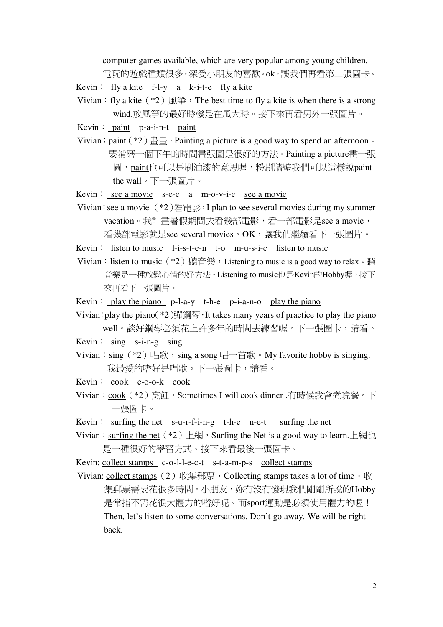computer games available, which are very popular among young children. 電玩的遊戲種類很多,深受小朋友的喜歡。ok,讓我們再看第二張圖卡。

Kevin: fly a kite f-l-y a k-i-t-e fly a kite

- Vivian: fly a kite  $(*2) \n\mathbb{R}$   $\mathbb{S}$  of The best time to fly a kite is when there is a strong wind.放風箏的最好時機是在風大時。接下來再看另外一張圖片。
- Kevin:  $\text{paint } \text{ p-a-i-n-t } \text{ paint }$
- Vivian:  $\frac{\text{paint}}{\pm 2}$  \endefiniting a picture is a good way to spend an afternoon  $\circ$ 要消磨一個下午的時間書張圖是很好的方法。Painting a picture書一張 圖, paint也可以是刷油漆的意思喔, 粉刷牆壁我們可以這樣說paint the wall。下一張圖片。
- Kevin: see a movie  $s-e-e$  a m-o-v-i-e see a movie
- Vivian: see a movie  $(*2)$ 看電影, I plan to see several movies during my summer vacation。我計書暑假期間去看幾部電影,看一部電影是see a movie, 看幾部電影就是see several movies。OK,讓我們繼續看下一張圖片。
- Kevin: listen to music  $l-i-s-t-e-n$  t-o m-u-s-i-c listen to music
- Vivian:<u>listen to music</u> (\*2) 聽音樂,Listening to music is a good way to relax。聽 音樂是一種放鬆心情的好方法。Listening to music也是Kevin的Hobby喔。接下 來再看下一張圖片。
- Kevin:  $play the piano p-l-a-y t-h-e p-i-a-n-o play the piano$
- Vivian: play the piano( $*2$ )彈鋼琴, It takes many years of practice to play the piano well。談好鋼琴必須花上許多年的時間去練習喔。下一張圖卡,請看。
- Kevin:  $\sin g$  s-i-n-g  $\sin g$
- Vivian:  $\sin g$  (\*2) 唱歌,  $\sin g$  a song 唱一首歌。My favorite hobby is singing. 我最愛的嗜好是唱歌。下一張圖卡,請看。
- $Kevin: \cosh \ c\text{-}o\text{-}o-k \cosh \ c$
- Vivian: cook (\*2) 烹飪, Sometimes I will cook dinner .有時候我會煮晩餐。下 一張圖卡。
- Kevin: surfing the net s-u-r-f-i-n-g t-h-e n-e-t surfing the net
- Vivian: surfing the net  $(*2)$   $\Box$   $\Box$   $\Diamond$  Surfing the Net is a good way to learn.  $\Box$   $\Box$   $\Box$ 是一種很好的學習方式。接下來看最後一張圖卡。
- Kevin: collect stamps c-o-l-l-e-c-t s-t-a-m-p-s collect stamps
- Vivian: collect stamps  $(2)$  收集郵票, Collecting stamps takes a lot of time 。收 集郵票需要花很多時間。小朋友, 妳有沒有發現我們剛剛所說的Hobby 是常指不需花很大體力的嗜好呢。而sport運動是必須使用體力的喔! Then, let's listen to some conversations. Don't go away. We will be right back.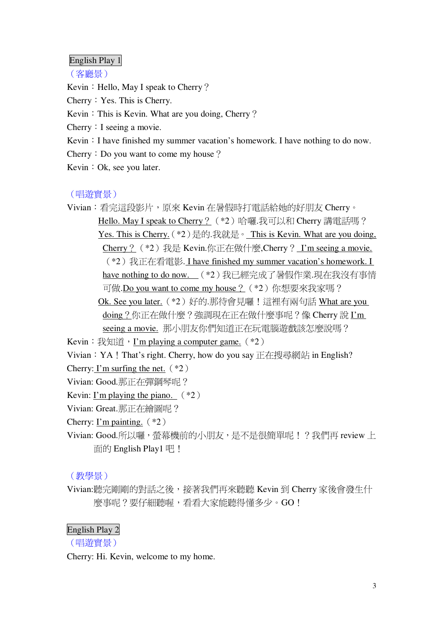## English Play 1

(客廳景)

Kevin: Hello, May I speak to Cherry?

Cherry: Yes. This is Cherry.

Kevin: This is Kevin. What are you doing, Cherry?

Cherry: I seeing a movie.

Kevin: I have finished my summer vacation's homework. I have nothing to do now.

Cherry: Do you want to come my house?

Kevin: Ok, see you later.

### (唱游實景)

Vivian: 看完這段影片, 原來 Kevin 在暑假時打電話給她的好朋友 Cherry。 Hello. May I speak to Cherry? (\*2) 哈囉.我可以和 Cherry 講電話嗎? Yes. This is Cherry. (\*2) 是的.我就是。 This is Kevin. What are you doing, Cherry? (\*2) 我是 Kevin.你正在做什麼, Cherry? I'm seeing a movie. (\*2) 我正在看電影. I have finished my summer vacation's homework. I have nothing to do now. (\*2)我已經完成了暑假作業.現在我沒有事情 可做.Do you want to come my house? (\*2) 你想要來我家嗎? Ok. See you later. (\*2) 好的.那待會見囉!這裡有兩句話 What are you doing ? 你正在做什麼 ? 強調現在正在做什麼事呢 ? 像 Cherry 說 I'm seeing a movie. 那小朋友你們知道正在玩電腦遊戲該怎麼說嗎? Kevin:  $\frac{1}{12}$   $\frac{1}{12}$   $\frac{1}{12}$   $\frac{1}{12}$   $\frac{1}{12}$   $\frac{1}{12}$   $\frac{1}{12}$   $\frac{1}{12}$   $\frac{1}{12}$   $\frac{1}{12}$   $\frac{1}{12}$   $\frac{1}{12}$   $\frac{1}{12}$   $\frac{1}{12}$   $\frac{1}{12}$   $\frac{1}{12}$   $\frac{1}{12}$   $\frac{1}{12}$   $\frac{1}{12}$   $\frac{1$ Vivian: YA! That's right. Cherry, how do you say 正在搜尋網站 in English? Cherry: I'm surfing the net.  $(*2)$ Vivian: Good.那正在彈鋼琴呢? Kevin: I'm playing the piano.  $(*2)$ Vivian: Great.那正在繪圖呢? Cherry: I'm painting.  $(*2)$ 

Vivian: Good.所以囉, 螢幕機前的小朋友, 是不是很簡單呢! ? 我們再 review 上 面的 English Play1 吧!

# (教學景)

Vivian:聽完剛剛的對話之後,接著我們再來聽聽 Kevin 到 Cherry 家後會發生什 麼事呢?要仔細聽喔,看看大家能聽得懂多少。GO!

# **English Play 2**

(唱游實景)

Cherry: Hi. Kevin, welcome to my home.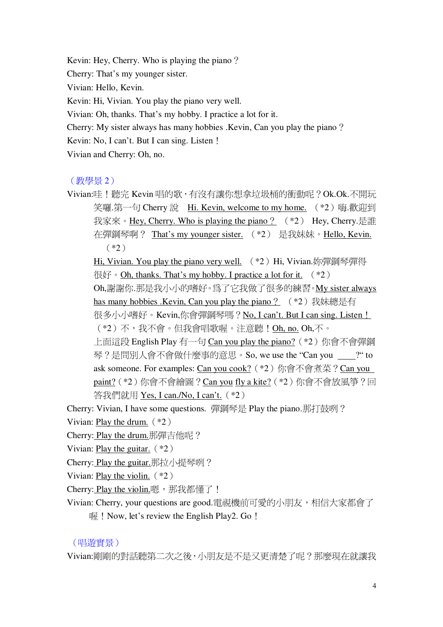Kevin: Hey, Cherry. Who is playing the piano? Cherry: That's my younger sister. Vivian: Hello, Kevin. Kevin: Hi, Vivian. You play the piano very well. Vivian: Oh, thanks. That's my hobby. I practice a lot for it. Cherry: My sister always has many hobbies . Kevin, Can you play the piano? Kevin: No, I can't. But I can sing. Listen ! Vivian and Cherry: Oh, no.

# (教學景2)

Vivian:哇!聽完 Kevin 唱的歌,有沒有讓你想拿垃圾桶的衝動呢?Ok.Ok.不開玩 笑囉.第一句 Cherry 說 Hi. Kevin, welcome to my home. (\*2) 嗨.歡迎到 我家來。Hey, Cherry. Who is playing the piano? (\*2) Hey, Cherry.是誰 在彈鋼琴啊? That's my younger sister. (\*2) 是我妹妹。Hello, Kevin.  $(*2)$ 

Hi, Vivian. You play the piano very well. (\*2) Hi, Vivian.妳彈鋼琴彈得  $\overline{\text{R}}\overline{\text{R}}$   $\cdot$  Oh, thanks. That's my hobby. I practice a lot for it.  $(*2)$ Oh,謝謝你.那是我小小的嗜好。為了它我做了很多的練習。My sister always has many hobbies .Kevin, Can you play the piano? (\*2) 我妹總是有 很多小小嗜好。Kevin,你會彈鋼琴嗎?No, I can't. But I can sing. Listen ! (\*2)不,我不會。但我會唱歌喔。注意聽!Oh, no. Oh,不。 上面這段 English Play 有一句 Can you play the piano? (\*2) 你會不會彈鋼 琴?是間別人會不會做什麼事的意思。So. we use the "Can vou ?" to ask someone. For examples: Can you cook? (\*2) 你會不會煮菜? Can you paint? (\*2) 你會不會繪圖? Can you fly a kite? (\*2) 你會不會放風箏? 回 答我們就用 Yes. I can./No. I can't. (\*2)

- Cherry: Vivian, I have some questions. 彈鋼琴是 Play the piano.那打鼓咧?
- Vivian: Play the drum.  $(*2)$
- Cherry: Play the drum.那彈吉他呢?
- Vivian: Play the guitar.  $(*2)$
- Cherry: Play the guitar.那拉小提琴咧?
- Vivian: Play the violin.  $(*2)$
- Cherry: Play the violin.嗯, 那我都懂了!
- Vivian: Cherry, your questions are good.電視機前可愛的小朋友,相信大家都會了  $\frac{1}{2}$  ! Now, let's review the English Play2. Go !

## (唱游實景)

Vivian:剛剛的對話聽第二次之後,小朋友是不是又更清楚了呢?那麼現在就讓我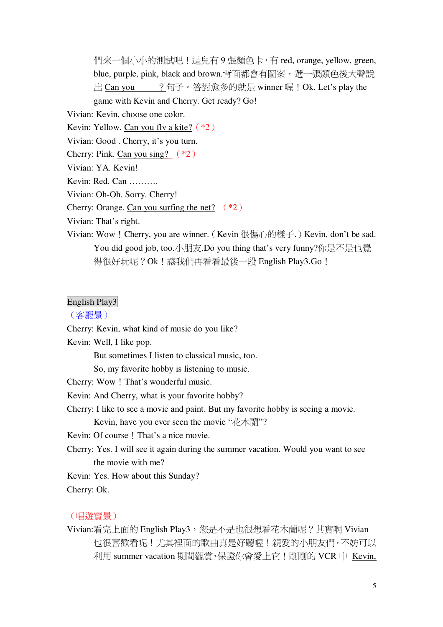們來一個小小的測試吧!這兒有9張顏色卡,有 red, orange, yellow, green, blue, purple, pink, black and brown.背面都會有圖案,選一張顏色後大聲說  $H$  Can you ?句子。答對愈多的就是 winner 喔!Ok. Let's play the game with Kevin and Cherry. Get ready? Go!

Vivian: Kevin, choose one color.

Kevin: Yellow. Can you fly a kite?  $(*2)$ 

Vivian: Good . Cherry, it's you turn.

Cherry: Pink. Can you sing?  $(*2)$ 

Vivian: YA, Kevin!

Kevin: Red. Can ..........

Vivian: Oh-Oh. Sorry. Cherry!

Cherry: Orange. Can you surfing the net?  $(*2)$ 

Vivian: That's right.

Vivian: Wow ! Cherry, you are winner. (Kevin 很傷心的樣子.) Kevin, don't be sad. You did good job, too.小朋友.Do you thing that's very funny?你是不是也覺 得很好玩呢? Ok!讓我們再看看最後一段 English Play3.Go!

## English Play3

#### (客廳景)

Cherry: Kevin, what kind of music do you like?

Kevin: Well, I like pop.

But sometimes I listen to classical music, too.

So, my favorite hobby is listening to music.

Cherry: Wow ! That's wonderful music.

Kevin: And Cherry, what is your favorite hobby?

Cherry: I like to see a movie and paint. But my favorite hobby is seeing a movie.

Kevin, have you ever seen the movie "花木蘭"?

Kevin: Of course ! That's a nice movie.

Cherry: Yes. I will see it again during the summer vacation. Would you want to see the movie with me?

Kevin: Yes. How about this Sunday?

Cherry: Ok.

#### (唱游實景)

Vivian:看完上面的 English Play3, 您是不是也很想看花木蘭呢?其實啊 Vivian 也很喜歡看呢!尤其裡面的歌曲直是好聽喔!親愛的小朋友們,不妨可以 利用 summer vacation 期間觀賞, 保證你會愛上它!剛剛的 VCR 中 Kevin,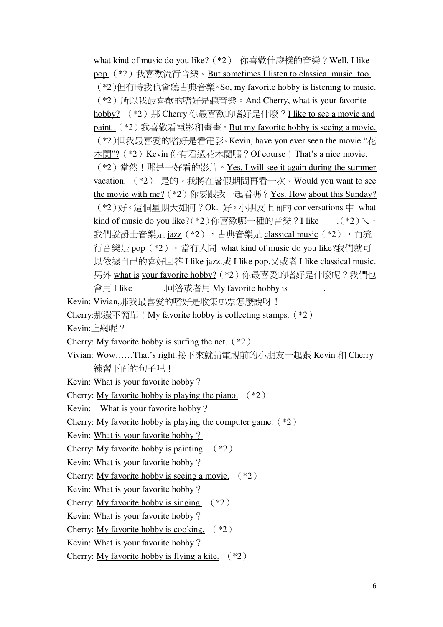what kind of music do you like? (\*2) 你喜歡什麼樣的音樂? Well, I like pop. (\*2) 我喜歡流行音樂。But sometimes I listen to classical music, too. (\*2) 但有時我也會聽古典音樂。So, my favorite hobby is listening to music. (\*2) 所以我最喜歡的嗜好是聽音樂。And Cherry, what is your favorite hobby? (\*2) 那 Cherry 你最喜歡的嗜好是什麼? I like to see a movie and paint. (\*2)我喜歡看雷影和書書。But my favorite hobby is seeing a movie. (\*2)但我最喜愛的嗜好是看電影。Kevin, have you ever seen the movie "花 木蘭"? (\*2) Kevin 你有看過花木蘭嗎? Of course ! That's a nice movie. (\*2)當然!那是一好看的影片。Yes. I will see it again during the summer vacation. (\*2) 是的。我將在暑假期間再看一次。Would you want to see the movie with me? (\*2) 你要跟我一起看嗎? Yes. How about this Sunday? (\*2)好。這個星期天如何?Ok. 好。小朋友上面的 conversations 中 what kind of music do you like?(\*2)你喜歡哪一種的音樂? I like (\*2) 我們說爵士音樂是 jazz (\*2), 古典音樂是 classical music (\*2), 而流 行音樂是 pop (\*2) 。當有人問 what kind of music do you like?我們就可 以依據自己的喜好回答 I like jazz.或 I like pop.又或者 I like classical music. 另外 what is your favorite hobby? (\*2) 你最喜愛的嗜好是什麼呢?我們也 會用 I like \_\_\_\_\_\_.回答或者用 My favorite hobby is

- Kevin: Vivian,那我最喜愛的嗜好是收集郵票怎麼說呀!
- Cherry:那還不簡單!My favorite hobby is collecting stamps. (\*2)
- Kevin: 上網呢?
- Cherry: My favorite hobby is surfing the net.  $(*2)$
- Vivian: Wow......That's right.接下來就請電視前的小朋友一起跟 Kevin 和 Cherry 練習下面的句子吧!
- Kevin: What is your favorite hobby?
- Cherry: My favorite hobby is playing the piano.  $(*2)$
- Kevin: What is your favorite hobby?
- Cherry: My favorite hobby is playing the computer game.  $(*2)$
- Kevin: What is your favorite hobby?
- Cherry: My favorite hobby is painting.  $(*2)$
- Kevin: What is your favorite hobby?
- Cherry: My favorite hobby is seeing a movie.  $(*2)$
- Kevin: What is your favorite hobby?
- Cherry: My favorite hobby is singing.  $(*2)$
- Kevin: What is your favorite hobby?
- Cherry: My favorite hobby is cooking.  $(*2)$
- Kevin: What is your favorite hobby?
- Cherry: My favorite hobby is flying a kite.  $(*2)$